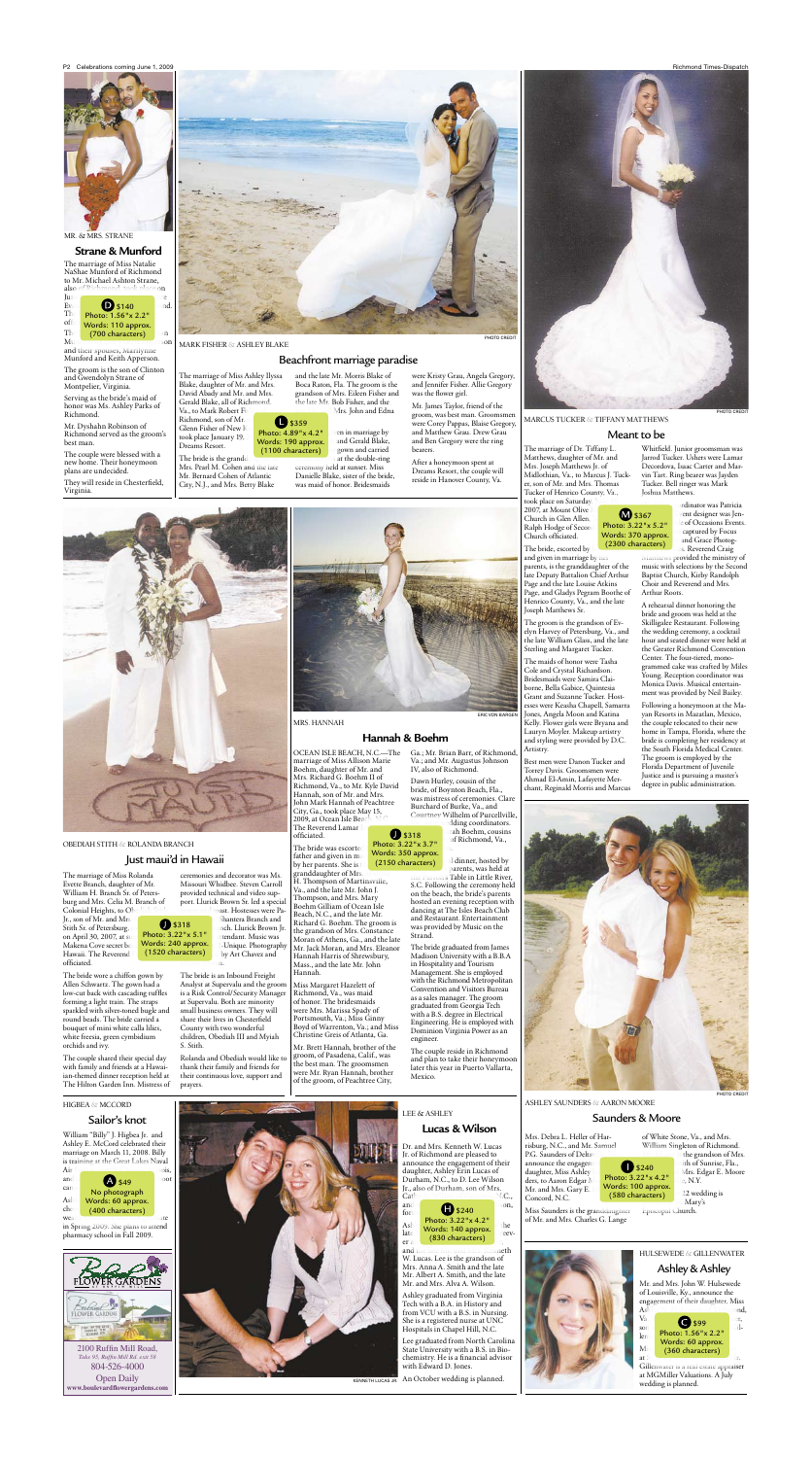P2 Celebrations coming June 1, 2009 **Richmond Times-Dispatch** 



# MR. & MRS. STRANE

**Strane & Munford** The marriage of Miss Natalie NaShae Munford of Richmond to Mr. Michael Ashton Strane,<br>also of Richmond, took place o

**also** of Richmond, took place  $\mathsf{on}$ June **de la component de la component de la component de la component de la component de la component de la com** Evan  $\bullet$  \$140 ond.  $\text{Th}$  Photo: 1.56"x 2.2"  $\frac{1}{2}$  Words: 110 approx.

 $\int$ The (700 characters) an Munica de la componencia de la componencia de la componencia de la componencia de la componencia de la componencia

and their spouses, Marilynne Munford and Keith Apperson.

The groom is the son of Clinton and Gwendolyn Strane of Montpelier, Virginia.

Serving as the bride's maid of honor was Ms. Ashley Parks of Richmond.

Mr. Dyshahn Robinson of Richmond served as the groom's best man.

The couple were blessed with a new home. Their honeymoon plans are undecided.

They will reside in Chesterfield, Virginia.



### obediah stith & rolanda branch

The marriage of Miss Rolanda Evette Branch, daughter of Mr. William H. Branch Sr. of Petersburg and Mrs. Celia M. Branch of Colonial Heights, to Ob

## Just maui'd in Hawaii

Jr., son of Mr. and Mrs. Stith Sr. of Petersburg, on April 30, 2007, at su Makena Cove secret be Hawaii. The Reverend officiated.

The bride wore a chiffon gown by Allen Schwartz. The gown had a low-cut back with cascading ruffles forming a light train. The straps sparkled with silver-toned bugle and round beads. The bride carried a bouquet of mini white calla lilies, white freesia, green cymbidium orchids and ivy.

The couple shared their special day with family and friends at a Hawaiian-themed dinner reception held at The Hilton Garden Inn. Mistress of

HIGBEA & MCCORD

Matthews, daughter of Mr. and Mrs. Joseph Matthews Jr. of Midlothian, Va., to Marcus J. Tucker, son of Mr. and Mrs. Thomas Tucker of Henrico County, Va., took place on Saturday

ceremonies and decorator was Ms. Missouri Whidbee. Steven Carroll provided technical and video support. Llurick Brown Sr. led a special

2007, at Mount Olive Church in Glen Allen. Ralph Hodge of Second Church officiated.

The bride, escorted by and given in marriage by her parents, is the granddaughter of the late Deputy Battalion Chief Arthur Page and the late Louise Atkins Page, and Gladys Pegram Boothe of Henrico County, Va., and the late Joseph Matthews Sr.

The bride is an Inbound Freight Analyst at Supervalu and the groom is a Risk Control/Security Manager at Supervalu. Both are minority small business owners. They will share their lives in Chesterfield County with two wonderful children, Obediah III and Myiah S. Stith.

Rolanda and Obediah would like to thank their family and friends for their continuous love, support and prayers.

The groom is the grandson of Evelyn Harvey of Petersburg, Va., and the late William Glass, and the late Sterling and Margaret Tucker.

Mrs. Debra L. Heller of Harrisburg, N.C., and Mr. Samuel P.G. Saunders of Deltav announce the engagem daughter, Miss Ashley

ders, to Aaron Edgar M Mr. and Mrs. Gary E. Concord, N.C.

The maids of honor were Tasha Cole and Crystal Richardson. Bridesmaids were Samira Claiborne, Bella Gabice, Quintesia Grant and Suzanne Tucker. Hostesses were Keasha Chapell, Samarra Jones, Angela Moon and Katina Kelly. Flower girls were Bryana and Lauryn Moyler. Makeup artistry and styling were provided by D.C. Artistry.

> Mary's Episcopal Church.

Best men were Danon Tucker and Torrey Davis. Groomsmen were Ahmad El-Amin, Lafayette Mer-

chant, Reginald Morris and Marcus





Whitfield. Junior groomsman was Jarrod Tucker. Ushers were Lamar Decordova, Isaac Carter and Marvin Tart. Ring bearer was Jayden Tucker. Bell ringer was Mark Joshua Matthews.

> ordinator was Patricia vent designer was Jenle of Occasions Events. captured by Focus and Grace Photoges. Reverend Craig

PHOTO CREDIT

The bride is the grandd Mrs. Pearl M. Cohen and the late Mr. Bernard Cohen of Atlantic City, N.J., and Mrs. Betty Blake

and the late Mr. Morris Blake of Boca Raton, Fla. The groom is the grandson of Mrs. Eileen Fisher and the late Mr. Bob Fisher, and the Mrs. John and Edna

> ven in marriage by and Gerald Blake, gown and carried

> > Matthews provided the ministry of music with selections by the Second Baptist Church, Kirby Randolph Choir and Reverend and Mrs. Arthur Roots.

at the double-ring ceremony held at sunset. Miss Danielle Blake, sister of the bride, was maid of honor. Bridesmaids

> A rehearsal dinner honoring the bride and groom was held at the Skilligalee Restaurant. Following the wedding ceremony, a cocktail hour and seated dinner were held at the Greater Richmond Convention Center. The four-tiered, monogrammed cake was crafted by Miles Young. Reception coordinator was Monica Davis. Musical entertainment was provided by Neil Bailey.

 $\frac{1}{2}$ \$359 Photo: 4.89"x 4.2" Words: 190 approx. (1100 characters)

by Art Chavez and  $m$ .  $\bigcirc$  \$318 Photo: 3.22"x 5.1" Words: 240 approx. (1520 characters)

oast. Hostesses were Pa-Shantera Branch and Inch. Llurick Brown Jr. ttendant. Music was

2-Unique. Photography

M \$367 Photo: 3.22"x 5.2" Words: 370 approx. (2300 characters)



Following a honeymoon at the Mayan Resorts in Mazatlan, Mexico, the couple relocated to their new home in Tampa, Florida, where the bride is completing her residency at the South Florida Medical Center. The groom is employed by the Florida Department of Juvenile Justice and is pursuing a master's degree in public administration.





MRS. HANNAH

### **Hannah & Boehm**

OCEAN ISLE BEACH, N.C.-The marriage of Miss Allison Marie Boehm, daughter of Mr. and Mrs. Richard G. Boehm II of Richmond, Va., to Mr. Kyle Day Hannah, son of Mr. and Mrs. John Mark Hannah of Peachtree City, Ga., took place May 15, 2009, at Ocean Isle Bea The Reverend Lamar \$318

Ga.; Mr. Brian Barr, of Richmond, Va.; and Mr. Augustus Johnson IV, also of Richmond. Dawn Hurley, cousin of the

ERIC VON BARGEN

PHOTO CREDIT

# Meant to be

William "Billy" J. Higbea Jr. and Ashley E. McCord celebrated their marriage on March 11, 2008. Billy is training at the Great Lakes Naval



in Spring 2009. She plans to attend pharmacy school in Fall 2009.

## Sailor's knot



Take 95, Ruffin Mill Rd. exit 58 804-526-4000 Open Daily **www.boulevardfl owergardens.com**

Miss Saunders is the granddaughter of Mr. and Mrs. Charles G. Lange

of White Stone, Va., and Mrs. William Singleton of Richmond.

Ashley Saunders & Aaron Moore

### Saunders & Moore

Mr. and Mrs. John W. Hulsewede of Louisville, Ky., announce the engagement of their daughter, Miss

Gillenwater is a real estate appraiser at MGMiller Valuations. A July wedding is planned.

officiated. The bride was escorte father and given in ma by her parents. She is granddaughter of Mrs. H. Thompson of Martinsville, Va., and the late Mr. John J. Thompson, and Mrs. Mary Boehm Gilliam of Ocean Isle Beach, N.C., and the late Mr.  $V$ ioto: 3.22  $\times$  3.7 $\phantom{0}$   $\phantom{0}$   $\phantom{0}$   $\phantom{0}$   $\phantom{0}$   $\phantom{0}$   $\phantom{0}$   $\phantom{0}$   $\phantom{0}$   $\phantom{0}$   $\phantom{0}$   $\phantom{0}$   $\phantom{0}$   $\phantom{0}$   $\phantom{0}$   $\phantom{0}$   $\phantom{0}$   $\phantom{0}$   $\phantom{0}$   $\phantom{0}$   $\phantom{0}$   $\phantom{0}$  Photo: 3.22"x 3.7" (2150 characters)

Richard G. Boehm. The groom is the grandson of Mrs. Constance Moran of Athens, Ga., and the late Mr. Jack Moran, and Mrs. Eleanor Hannah Harris of Shrewsbury, Mass., and the late Mr. John Hannah.

Miss Margaret Hazelett of Richmond, Va., was maid of honor. The bridesmaids were Mrs. Marissa Spady of Portsmouth, Va.; Miss Ginny Boyd of Warrenton, Va.; and Miss Christine Greis of Atlanta, Ga.

Mr. Brett Hannah, brother of the groom, of Pasadena, Calif., was the best man. The groomsmen were Mr. Ryan Hannah, brother of the groom, of Peachtree City,

bride, of Bovnton Beach, Fla., was mistress of ceremonies. Clare Burchard of Burke, Va., and Courtney Wilhelm of Purcellville,

dding coordinators. rah Boehm, cousins of Richmond, Va.,

al dinner, hosted by parents, was held at

n's Table in Little River, S.C. Following the ceremony held on the beach, the bride's parents hosted an evening reception with dancing at The Isles Beach Club and Restaurant. Entertainment was provided by Music on the Strand.

The bride graduated from James Madison University with a B.B.A in Hospitality and Tourism Management. She is employed with the Richmond Metropolitan Convention and Visitors Bureau as a sales manager. The groom graduated from Georgia Tech with a B.S. degree in Electrical Engineering. He is employed with Dominion Virginia Power as an engineer.

The couple reside in Richmond and plan to take their honeymoon later this year in Puerto Vallarta, Mexico.

Dr. and Mrs. Kenneth W. Lucas Jr. of Richmond are pleased to announce the engagement of their daughter, Ashley Erin Lucas of Durham, N.C., to D. Lee Wilson Jr., also of Durham, son of Mrs.

**Lucas & Wilson** 

### hulsewede & gillenwater

athy A. Wilson of Gastonia, N.**C** 

and  $\uparrow$   $\blacksquare$   $\blacksquare$   $\blacksquare$   $\blacksquare$   $\blacksquare$   $\blacksquare$   $\blacksquare$   $\blacksquare$   $\blacksquare$ 

 $\frac{\text{Ash}}{\text{hots}}$   $\frac{\text{tho}}{\text{A}}$   $\frac{\text{the}}{\text{hots}}$  $\frac{1}{1020}$   $\frac{1}{1020}$   $\frac{1}{1020}$   $\frac{1}{1020}$   $\frac{1}{1020}$   $\frac{1}{1020}$   $\frac{1}{1020}$   $\frac{1}{1020}$   $\frac{1}{1020}$   $\frac{1}{1020}$   $\frac{1}{1020}$   $\frac{1}{1020}$   $\frac{1}{1020}$   $\frac{1}{1020}$   $\frac{1}{1020}$   $\frac{1}{1020}$   $\frac{1}{1020}$   $\frac{a}{\text{er }a}$  (830 characters) and the late Mr. and Mrs. Kenneth W. Lucas. Lee is the grandson of Mrs. Anna A. Smith and the late Mr. Albert A. Smith, and the late Mr. and Mrs. Alva A. Wilson. Ashley graduated from Virginia Tech with a B.A. in History and from VCU with a B.S. in Nursing. She is a registered nurse at UNC Hospitals in Chapel Hill, N.C. Lee graduated from North Carolina State University with a B.S. in Biochemistry. He is a financial advisor

# Ashley & Ashley

mark fisher & Ashley blake

# Beachfront marriage paradise

The marriage of Miss Ashley Ilyssa Blake, daughter of Mr. and Mrs. David Abady and Mr. and Mrs. Gerald Blake, all of Richmond, Va., to Mark Robert Fi Richmond, son of Mr. Glenn Fisher of New K took place January 19, Dreams Resort.



were Kristy Grau, Angela Gregory, and Jennifer Fisher. Allie Gregory was the flower girl.

Mr. James Taylor, friend of the groom, was best man. Groomsmen were Corey Pappas, Blaise Gregory, and Matthew Grau. Drew Grau and Ben Gregory were the ring bearers.

After a honeymoon spent at Dreams Resort, the couple will reside in Hanover County, Va.



the grandson of Mrs. ith of Sunrise, Fla., Mrs. Edgar E. Moore le, N.Y. 22 wedding is

PHOTO CREDIT



Photo: 3.22"x 4.2"

 $\frac{d}{\text{form}}$   $\bullet$  \$240

LEE & ASHLEY

with Edward D. Jones.

 $\mathbb{I}.\mathbb{C}$ .,

Cat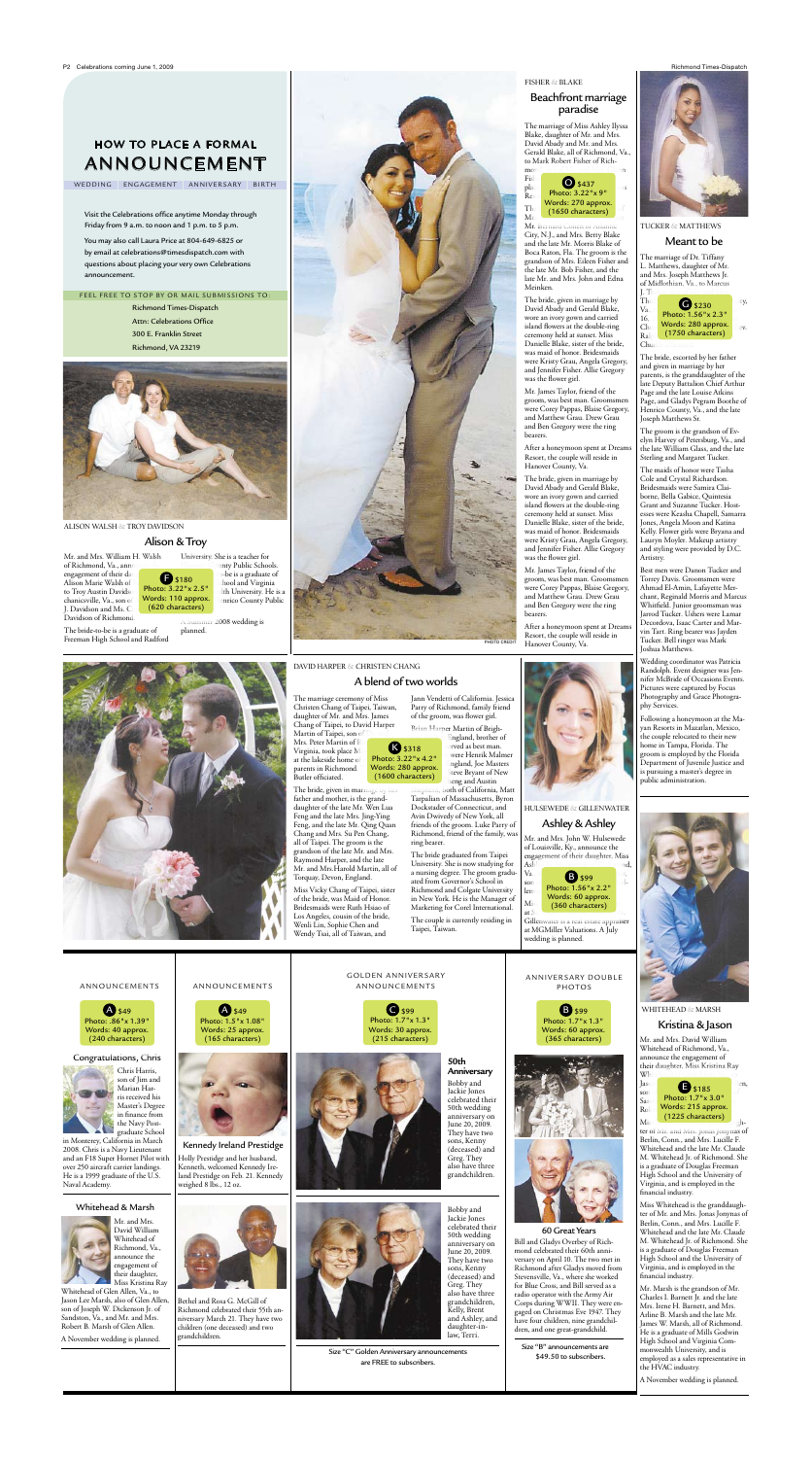Mr. and Mrs. William H. Walsh of Richmond, Va., anno engagement of their da Alison Marie Walsh of to Troy Austin Davidson chanicsville, Va., son of J. Davidson and Ms. C. Davidson of Richmond.

The bride-to-be is a graduate of Freeman High School and Radford

> The marriage ceremony of Miss Christen Chang of Taipei, Taiwan, daughter of Mr. and Mrs. James Chang of Taipei, to David Harper Martin of Taipei, son of Mrs. Peter Martin of R



unty Public Schools.

University. She is a teacher for (620 characters) **F** \$180 Photo: 3.22"x 2.5" Words: 110 approx.

> Virginia, took place M at the lakeside home of parents in Richmond. Butler officiated.

planned.



alison walsh & troy davidson

### Alison & Troy

The bride, given in marriage l father and mother, is the granddaughter of the late Mr. Wen Lua Feng and the late Mrs. Jing-Ying Feng, and the late Mr. Qing Quan Chang and Mrs. Su Pen Chang, all of Taipei. The groom is the grandson of the late Mr. and Mrs. Raymond Harper, and the late Mr. and Mrs.Harold Martin, all of Torquay, Devon, England.

, both of California, Matt Tarpalian of Massachusetts, Byron Dockstader of Connecticut, and Avin Dwivedy of New York, all friends of the groom. Luke Parry of Richmond, friend of the family, was ring bearer.

Miss Vicky Chang of Taipei, sister of the bride, was Maid of Honor. Bridesmaids were Ruth Hsiao of Los Angeles, cousin of the bride, Wenli Lin, Sophie Chen and Wendy Tsai, all of Taiwan, and

Jann Vendetti of California. Jessica Parry of Richmond, family friend of the groom, was flower girl. Brian Harper Martin of Brigh-K \$318 Photo: 3.22"x 4.2"

England, brother of erved as best man. were Henrik Malmer Ingland, Joe Masters

> The bride graduated from Taipei University. She is now studying for a nursing degree. The groom graduated from Governor's School in Richmond and Colgate University in New York. He is the Manager of Marketing for Corel International.

The couple is currently residing in Taipei, Taiwan.

# A blend of two worlds

Words: 280 approx. (1600 characters)

## Kristina & Jason

Mr. and Mrs. David William Whitehead of Richmond, Va., announce the engagement of their daughter, Miss Kristina Ray

Ashley N. Hulsewede of Richmond,  $V_{a}$ ,  $B$  \$99  $x$ ,  $1$  $\begin{array}{|c|c|c|c|}\n\hline\n\text{son} & \text{Photo: } 1.56 \text{''x} & 2.2 \text{''} \\
\hline\n\end{array}$ lenwater Prioto: 1.50"x 2.2"<br>Words: 60 approx.  $M$ iss (360 characters) at  $St.$  Mary's Catholic School. Mr.

> ter of Mr. and Mrs. Jonas Jonynas of Berlin, Conn., and Mrs. Lucille F. Whitehead and the late Mr. Claude M. Whitehead Jr. of Richmond. She is a graduate of Douglas Freeman High School and the University of Virginia, and is employed in the financial industry.



Miss Whitehead is the granddaughter of Mr. and Mrs. Jonas Jonynas of Berlin, Conn., and Mrs. Lucille F. Whitehead and the late Mr. Claude M. Whitehead Jr. of Richmond. She is a graduate of Douglas Freeman High School and the University of Virginia, and is employed in the financial industry.

Mr. Marsh is the grandson of Mr. Charles I. Barnett Jr. and the late Mrs. Irene H. Barnett, and Mrs. Arline B. Marsh and the late Mr. James W. Marsh, all of Richmond. He is a graduate of Mills Godwin High School and Virginia Commonwealth University, and is employed as a sales representative in the HVAC industry.

A November wedding is planned.

The marriage of Dr. Tiffany L. Matthews, daughter of Mr. and Mrs. Joseph Matthews Jr. of Midlothian, Va., to Marcus



The bride, escorted by her father and given in marriage by her parents, is the granddaughter of the late Deputy Battalion Chief Arthur Page and the late Louise Atkins Page, and Gladys Pegram Boothe of Henrico County, Va., and the late Joseph Matthews Sr.

The groom is the grandson of Evelyn Harvey of Petersburg, Va., and the late William Glass, and the late Sterling and Margaret Tucker.

**A** \$49 Photo: 1.5"x 1.08" Words: 25 approx. (165 characters)



The maids of honor were Tasha Cole and Crystal Richardson. Bridesmaids were Samira Claiborne, Bella Gabice, Quintesia Grant and Suzanne Tucker. Hostesses were Keasha Chapell, Samarra Jones, Angela Moon and Katina Kelly. Flower girls were Bryana and Lauryn Moyler. Makeup artistry and styling were provided by D.C. Artistry.

 $\bigodot$  \$99 Photo: 1.7"x 1.3" Words: 30 approx. (215 characters)

Best men were Danon Tucker and Torrey Davis. Groomsmen were Ahmad El-Amin, Lafayette Merchant, Reginald Morris and Marcus Whitfield. Junior groomsman was Jarrod Tucker. Ushers were Lamar Decordova, Isaac Carter and Marvin Tart. Ring bearer was Jayden Tucker. Bell ringer was Mark Joshua Matthews.

**B** \$99 Photo: 1.7"x 1.3" Words: 60 approx. (365 characters)

Size "B" announcements are \$49.50 to subscribers.







WHITEHEAD & MARSH

### ANNIVERSARY DOUBLE photos

Wedding coordinator was Patricia Randolph. Event designer was Jennifer McBride of Occasions Events. Pictures were captured by Focus Photography and Grace Photography Services.

Following a honeymoon at the Mayan Resorts in Mazatlan, Mexico, the couple relocated to their new home in Tampa, Florida. The groom is employed by the Florida Department of Juvenile Justice and is pursuing a master's degree in public administration.

### tucker & matthews

### Meant to be

Mr. and Mrs. John W. Hulsewede of Louisville, Ky., announce the engagement of their daughter, Miss

Gillenwater is a real estate appraiser at MGMiller Valuations. A July wedding is planned.

# hulsewede & gillenwater

# Ashley & Ashley

fisher & blake

# Beachfront marriage paradise

The marriage of Miss Ashley Ilyssa Blake, daughter of Mr. and Mrs. David Abady and Mr. and Mrs. Gerald Blake, all of Richmond, Va., to Mark Robert Fisher of Rich-

Mr. Bernard Cohen of Atlantic City, N.J., and Mrs. Betty Blake and the late Mr. Morris Blake of Boca Raton, Fla. The groom is the grandson of Mrs. Eileen Fisher and the late Mr. Bob Fisher, and the late Mr. and Mrs. John and Edna Meinken.

The bride, given in marriage by David Abady and Gerald Blake, wore an ivory gown and carried island flowers at the double-ring ceremony held at sunset. Miss Danielle Blake, sister of the bride, was maid of honor. Bridesmaids were Kristy Grau, Angela Gregory, and Jennifer Fisher. Allie Gregory was the flower girl.



Mr. James Taylor, friend of the groom, was best man. Groomsmen were Corey Pappas, Blaise Gregory, and Matthew Grau. Drew Grau and Ben Gregory were the ring bearers.

After a honeymoon spent at Dreams Resort, the couple will reside in Hanover County, Va.

The bride, given in marriage by David Abady and Gerald Blake, wore an ivory gown and carried island flowers at the double-ring ceremony held at sunset. Miss Danielle Blake, sister of the bride, was maid of honor. Bridesmaids were Kristy Grau, Angela Gregory, and Jennifer Fisher. Allie Gregory was the flower girl.

Mr. James Taylor, friend of the groom, was best man. Groomsmen were Corey Pappas, Blaise Gregory, and Matthew Grau. Drew Grau and Ben Gregory were the ring bearers.

After a honeymoon spent at Dreams Resort, the couple will reside in Hanover County, Va.





DAVID HARPER & CHRISTEN CHANG

Richmond Times-Dispatch Attn: Celebrations Office 300 E. Franklin Street Richmond, VA 23219





Visit the Celebrations office anytime Monday through Friday from 9 a.m. to noon and 1 p.m. to 5 p.m.

You may also call Laura Price at 804-649-6825 or by email at celebrations@timesdispatch.com with questions about placing your very own Celebrations announcement.

### FEEL FREE TO STOP BY OR MAIL SUBMISSIONS TO:

# How to place a formal announcement

WEDDING ENGAGEMENT ANNIVERSARY BIRTH

### Congratulations, Chris



Chris Harris, son of Jim and Marian Harris received his Master's Degree in finance from the Navy Postgraduate School

in Monterey, California in March 2008. Chris is a Navy Lieutenant and an F18 Super Hornet Pilot with over 250 aircraft carrier landings. He is a 1999 graduate of the U.S. Naval Academy.

### Whitehead & Marsh



Mr. and Mrs. David William Whitehead of Richmond, Va., announce the engagement of their daughter, Miss Kristina Ray

Whitehead of Glen Allen, Va., to Jason Lee Marsh, also of Glen Allen, son of Joseph W. Dickenson Jr. of Sandston, Va., and Mr. and Mrs. Robert B. Marsh of Glen Allen.

A November wedding is planned.



Kennedy Ireland Prestidge

Holly Prestidge and her husband, Kenneth, welcomed Kennedy Ireland Prestidge on Feb. 21. Kennedy weighed 8 lbs., 12 oz.

Bethel and Rosa G. McGill of Richmond celebrated their 55th anniversary March 21. They have two children (one deceased) and two

grandchildren.





### 60 Great Years

Bill and Gladys Overbey of Richmond celebrated their 60th anniversary on April 10. The two met in Richmond after Gladys moved from Stevensville, Va., where she worked for Blue Cross, and Bill served as a radio operator with the Army Air Corps during WWII. They were engaged on Christmas Eve 1947. They have four children, nine grandchildren, and one great-grandchild.

golden anniv er sary

steve Bryant of New heng and Austin





celebrated their 50th wedding anniversary on June 20, 2009. They have two sons, Kenny (deceased) and Greg. They also have three grandchildren, Kelly, Brent and Ashley, and daughter-in-

law, Terri.



**50th Anniversary** Bobby and Jackie Jones celebrated their 50th wedding anniversary on June 20, 2009. They have two sons, Kenny



Size "C" Golden Anniversary announcements are FREE to subscribers.